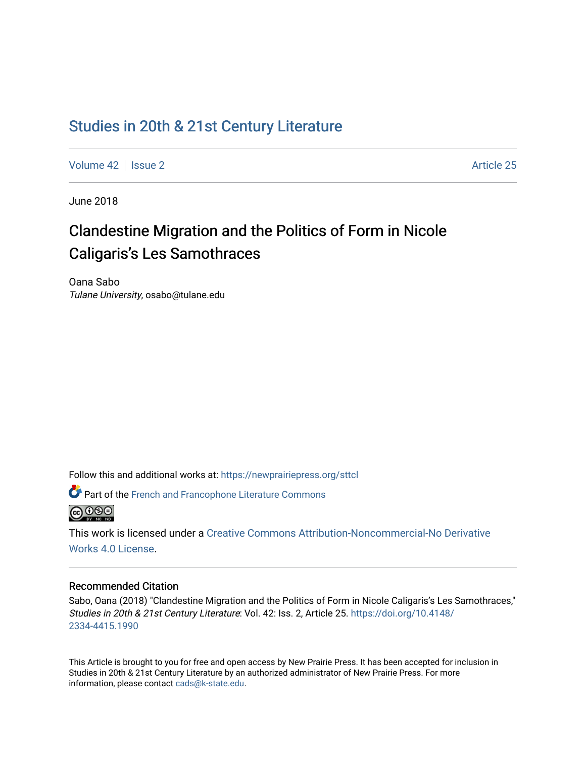# [Studies in 20th & 21st Century Literature](https://newprairiepress.org/sttcl)

[Volume 42](https://newprairiepress.org/sttcl/vol42) | [Issue 2](https://newprairiepress.org/sttcl/vol42/iss2) Article 25

June 2018

# Clandestine Migration and the Politics of Form in Nicole Caligaris's Les Samothraces

Oana Sabo Tulane University, osabo@tulane.edu

Follow this and additional works at: [https://newprairiepress.org/sttcl](https://newprairiepress.org/sttcl?utm_source=newprairiepress.org%2Fsttcl%2Fvol42%2Fiss2%2F25&utm_medium=PDF&utm_campaign=PDFCoverPages) 



Part of the [French and Francophone Literature Commons](http://network.bepress.com/hgg/discipline/465?utm_source=newprairiepress.org%2Fsttcl%2Fvol42%2Fiss2%2F25&utm_medium=PDF&utm_campaign=PDFCoverPages) 

This work is licensed under a [Creative Commons Attribution-Noncommercial-No Derivative](https://creativecommons.org/licenses/by-nc-nd/4.0/)  [Works 4.0 License](https://creativecommons.org/licenses/by-nc-nd/4.0/).

#### Recommended Citation

Sabo, Oana (2018) "Clandestine Migration and the Politics of Form in Nicole Caligaris's Les Samothraces," Studies in 20th & 21st Century Literature: Vol. 42: Iss. 2, Article 25. [https://doi.org/10.4148/](https://doi.org/10.4148/2334-4415.1990) [2334-4415.1990](https://doi.org/10.4148/2334-4415.1990) 

This Article is brought to you for free and open access by New Prairie Press. It has been accepted for inclusion in Studies in 20th & 21st Century Literature by an authorized administrator of New Prairie Press. For more information, please contact [cads@k-state.edu](mailto:cads@k-state.edu).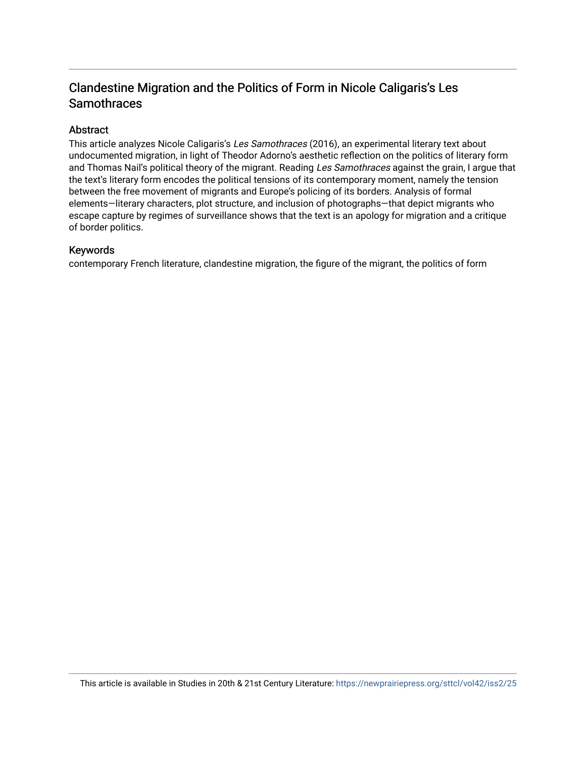# Clandestine Migration and the Politics of Form in Nicole Caligaris's Les **Samothraces**

## Abstract

This article analyzes Nicole Caligaris's Les Samothraces (2016), an experimental literary text about undocumented migration, in light of Theodor Adorno's aesthetic reflection on the politics of literary form and Thomas Nail's political theory of the migrant. Reading Les Samothraces against the grain, I argue that the text's literary form encodes the political tensions of its contemporary moment, namely the tension between the free movement of migrants and Europe's policing of its borders. Analysis of formal elements—literary characters, plot structure, and inclusion of photographs—that depict migrants who escape capture by regimes of surveillance shows that the text is an apology for migration and a critique of border politics.

### Keywords

contemporary French literature, clandestine migration, the figure of the migrant, the politics of form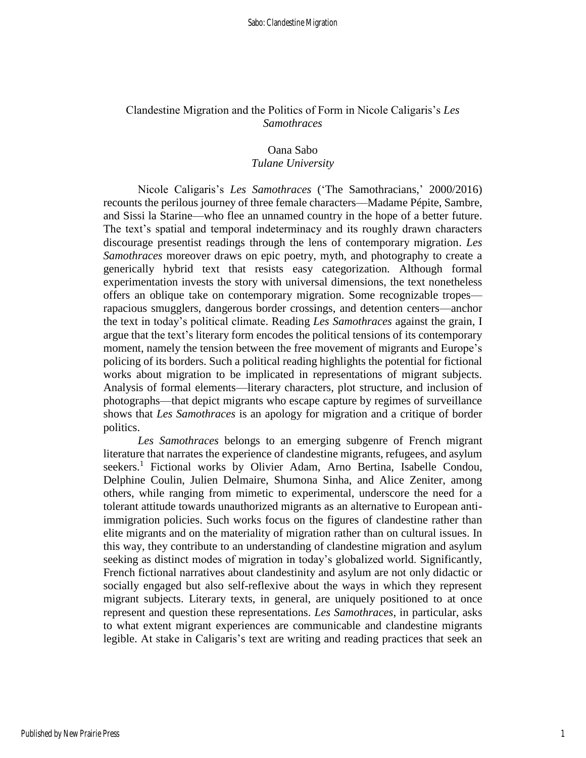### Clandestine Migration and the Politics of Form in Nicole Caligaris's *Les Samothraces*

# Oana Sabo

## *Tulane University*

Nicole Caligaris's *Les Samothraces* ('The Samothracians,' 2000/2016) recounts the perilous journey of three female characters—Madame Pépite, Sambre, and Sissi la Starine—who flee an unnamed country in the hope of a better future. The text's spatial and temporal indeterminacy and its roughly drawn characters discourage presentist readings through the lens of contemporary migration. *Les Samothraces* moreover draws on epic poetry, myth, and photography to create a generically hybrid text that resists easy categorization. Although formal experimentation invests the story with universal dimensions, the text nonetheless offers an oblique take on contemporary migration. Some recognizable tropes rapacious smugglers, dangerous border crossings, and detention centers—anchor the text in today's political climate. Reading *Les Samothraces* against the grain, I argue that the text's literary form encodes the political tensions of its contemporary moment, namely the tension between the free movement of migrants and Europe's policing of its borders. Such a political reading highlights the potential for fictional works about migration to be implicated in representations of migrant subjects. Analysis of formal elements—literary characters, plot structure, and inclusion of photographs—that depict migrants who escape capture by regimes of surveillance shows that *Les Samothraces* is an apology for migration and a critique of border politics.

*Les Samothraces* belongs to an emerging subgenre of French migrant literature that narrates the experience of clandestine migrants, refugees, and asylum seekers. <sup>1</sup> Fictional works by Olivier Adam, Arno Bertina, Isabelle Condou, Delphine Coulin, Julien Delmaire, Shumona Sinha, and Alice Zeniter, among others, while ranging from mimetic to experimental, underscore the need for a tolerant attitude towards unauthorized migrants as an alternative to European antiimmigration policies. Such works focus on the figures of clandestine rather than elite migrants and on the materiality of migration rather than on cultural issues. In this way, they contribute to an understanding of clandestine migration and asylum seeking as distinct modes of migration in today's globalized world. Significantly, French fictional narratives about clandestinity and asylum are not only didactic or socially engaged but also self-reflexive about the ways in which they represent migrant subjects. Literary texts, in general, are uniquely positioned to at once represent and question these representations. *Les Samothraces*, in particular, asks to what extent migrant experiences are communicable and clandestine migrants legible. At stake in Caligaris's text are writing and reading practices that seek an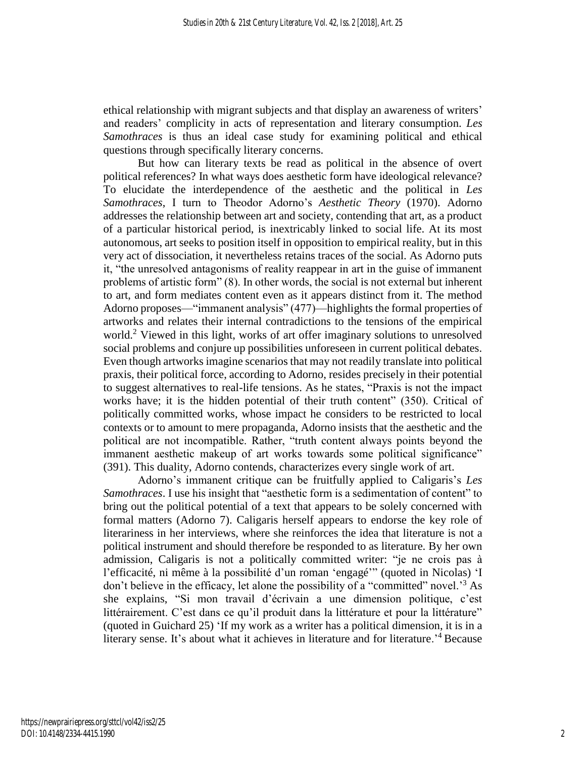ethical relationship with migrant subjects and that display an awareness of writers' and readers' complicity in acts of representation and literary consumption. *Les Samothraces* is thus an ideal case study for examining political and ethical questions through specifically literary concerns.

But how can literary texts be read as political in the absence of overt political references? In what ways does aesthetic form have ideological relevance? To elucidate the interdependence of the aesthetic and the political in *Les Samothraces*, I turn to Theodor Adorno's *Aesthetic Theory* (1970). Adorno addresses the relationship between art and society, contending that art, as a product of a particular historical period, is inextricably linked to social life. At its most autonomous, art seeks to position itself in opposition to empirical reality, but in this very act of dissociation, it nevertheless retains traces of the social. As Adorno puts it, "the unresolved antagonisms of reality reappear in art in the guise of immanent problems of artistic form" (8). In other words, the social is not external but inherent to art, and form mediates content even as it appears distinct from it. The method Adorno proposes—"immanent analysis" (477)—highlights the formal properties of artworks and relates their internal contradictions to the tensions of the empirical world.<sup>2</sup> Viewed in this light, works of art offer imaginary solutions to unresolved social problems and conjure up possibilities unforeseen in current political debates. Even though artworks imagine scenarios that may not readily translate into political praxis, their political force, according to Adorno, resides precisely in their potential to suggest alternatives to real-life tensions. As he states, "Praxis is not the impact works have; it is the hidden potential of their truth content" (350). Critical of politically committed works, whose impact he considers to be restricted to local contexts or to amount to mere propaganda, Adorno insists that the aesthetic and the political are not incompatible. Rather, "truth content always points beyond the immanent aesthetic makeup of art works towards some political significance" (391). This duality, Adorno contends, characterizes every single work of art.

Adorno's immanent critique can be fruitfully applied to Caligaris's *Les Samothraces*. I use his insight that "aesthetic form is a sedimentation of content" to bring out the political potential of a text that appears to be solely concerned with formal matters (Adorno 7). Caligaris herself appears to endorse the key role of literariness in her interviews, where she reinforces the idea that literature is not a political instrument and should therefore be responded to as literature. By her own admission, Caligaris is not a politically committed writer: "je ne crois pas à l'efficacité, ni même à la possibilité d'un roman 'engagé'" (quoted in Nicolas) 'I don't believe in the efficacy, let alone the possibility of a "committed" novel.<sup>3</sup> As she explains, "Si mon travail d'écrivain a une dimension politique, c'est littérairement. C'est dans ce qu'il produit dans la littérature et pour la littérature" (quoted in Guichard 25) 'If my work as a writer has a political dimension, it is in a literary sense. It's about what it achieves in literature and for literature.<sup>'4</sup> Because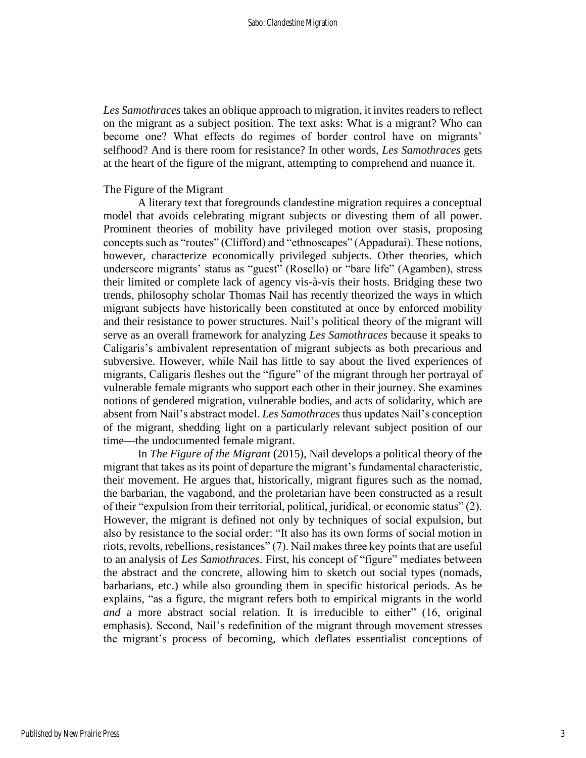*Les Samothraces* takes an oblique approach to migration, it invites readers to reflect on the migrant as a subject position. The text asks: What is a migrant? Who can become one? What effects do regimes of border control have on migrants' selfhood? And is there room for resistance? In other words, *Les Samothraces* gets at the heart of the figure of the migrant, attempting to comprehend and nuance it.

#### The Figure of the Migrant

A literary text that foregrounds clandestine migration requires a conceptual model that avoids celebrating migrant subjects or divesting them of all power. Prominent theories of mobility have privileged motion over stasis, proposing concepts such as "routes" (Clifford) and "ethnoscapes" (Appadurai). These notions, however, characterize economically privileged subjects. Other theories, which underscore migrants' status as "guest" (Rosello) or "bare life" (Agamben), stress their limited or complete lack of agency vis-à-vis their hosts. Bridging these two trends, philosophy scholar Thomas Nail has recently theorized the ways in which migrant subjects have historically been constituted at once by enforced mobility and their resistance to power structures. Nail's political theory of the migrant will serve as an overall framework for analyzing *Les Samothraces* because it speaks to Caligaris's ambivalent representation of migrant subjects as both precarious and subversive. However, while Nail has little to say about the lived experiences of migrants, Caligaris fleshes out the "figure" of the migrant through her portrayal of vulnerable female migrants who support each other in their journey. She examines notions of gendered migration, vulnerable bodies, and acts of solidarity, which are absent from Nail's abstract model. *Les Samothraces* thus updates Nail's conception of the migrant, shedding light on a particularly relevant subject position of our time—the undocumented female migrant.

In *The Figure of the Migrant* (2015), Nail develops a political theory of the migrant that takes as its point of departure the migrant's fundamental characteristic, their movement. He argues that, historically, migrant figures such as the nomad, the barbarian, the vagabond, and the proletarian have been constructed as a result of their "expulsion from their territorial, political, juridical, or economic status" (2). However, the migrant is defined not only by techniques of social expulsion, but also by resistance to the social order: "It also has its own forms of social motion in riots, revolts, rebellions, resistances" (7). Nail makes three key points that are useful to an analysis of *Les Samothraces*. First, his concept of "figure" mediates between the abstract and the concrete, allowing him to sketch out social types (nomads, barbarians, etc.) while also grounding them in specific historical periods. As he explains, "as a figure, the migrant refers both to empirical migrants in the world *and* a more abstract social relation. It is irreducible to either" (16, original emphasis). Second, Nail's redefinition of the migrant through movement stresses the migrant's process of becoming, which deflates essentialist conceptions of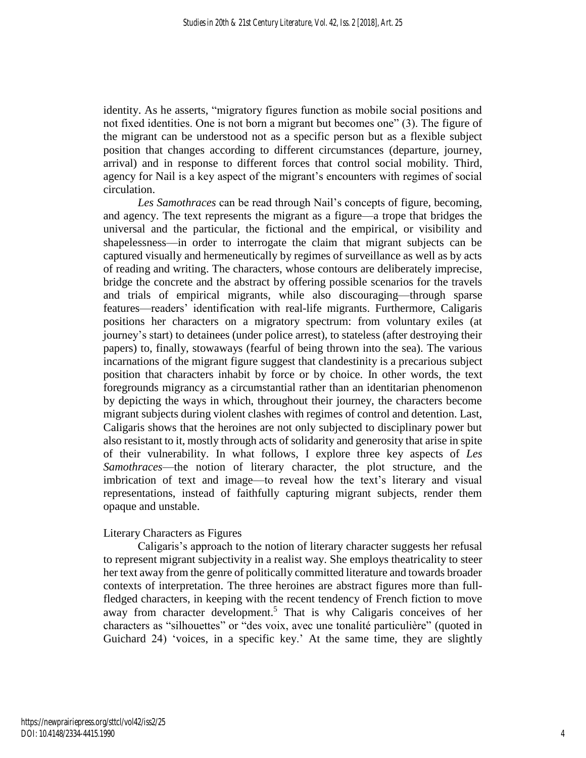identity. As he asserts, "migratory figures function as mobile social positions and not fixed identities. One is not born a migrant but becomes one" (3). The figure of the migrant can be understood not as a specific person but as a flexible subject position that changes according to different circumstances (departure, journey, arrival) and in response to different forces that control social mobility. Third, agency for Nail is a key aspect of the migrant's encounters with regimes of social circulation.

*Les Samothraces* can be read through Nail's concepts of figure, becoming, and agency. The text represents the migrant as a figure—a trope that bridges the universal and the particular, the fictional and the empirical, or visibility and shapelessness—in order to interrogate the claim that migrant subjects can be captured visually and hermeneutically by regimes of surveillance as well as by acts of reading and writing. The characters, whose contours are deliberately imprecise, bridge the concrete and the abstract by offering possible scenarios for the travels and trials of empirical migrants, while also discouraging—through sparse features—readers' identification with real-life migrants. Furthermore, Caligaris positions her characters on a migratory spectrum: from voluntary exiles (at journey's start) to detainees (under police arrest), to stateless (after destroying their papers) to, finally, stowaways (fearful of being thrown into the sea). The various incarnations of the migrant figure suggest that clandestinity is a precarious subject position that characters inhabit by force or by choice. In other words, the text foregrounds migrancy as a circumstantial rather than an identitarian phenomenon by depicting the ways in which, throughout their journey, the characters become migrant subjects during violent clashes with regimes of control and detention. Last, Caligaris shows that the heroines are not only subjected to disciplinary power but also resistant to it, mostly through acts of solidarity and generosity that arise in spite of their vulnerability. In what follows, I explore three key aspects of *Les Samothraces*—the notion of literary character, the plot structure, and the imbrication of text and image—to reveal how the text's literary and visual representations, instead of faithfully capturing migrant subjects, render them opaque and unstable.

### Literary Characters as Figures

Caligaris's approach to the notion of literary character suggests her refusal to represent migrant subjectivity in a realist way. She employs theatricality to steer her text away from the genre of politically committed literature and towards broader contexts of interpretation. The three heroines are abstract figures more than fullfledged characters, in keeping with the recent tendency of French fiction to move away from character development.<sup>5</sup> That is why Caligaris conceives of her characters as "silhouettes" or "des voix, avec une tonalité particulière" (quoted in Guichard 24) 'voices, in a specific key.' At the same time, they are slightly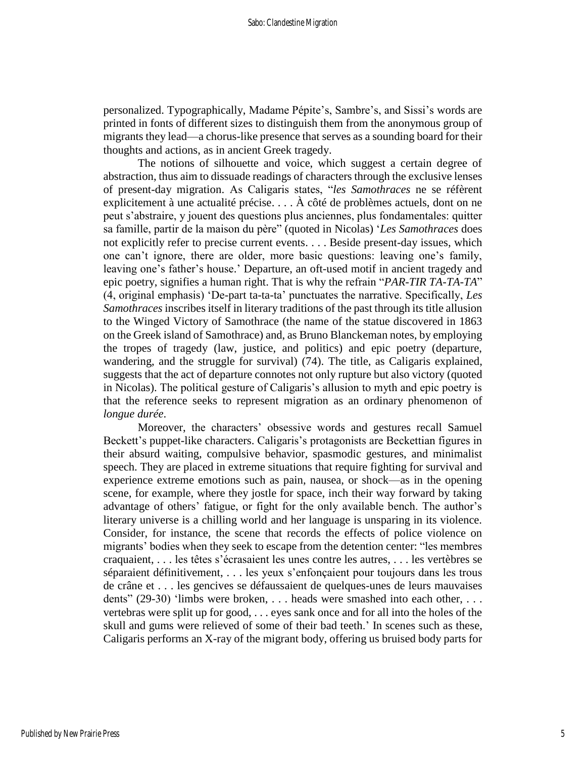personalized. Typographically, Madame Pépite's, Sambre's, and Sissi's words are printed in fonts of different sizes to distinguish them from the anonymous group of migrants they lead—a chorus-like presence that serves as a sounding board for their thoughts and actions, as in ancient Greek tragedy.

The notions of silhouette and voice, which suggest a certain degree of abstraction, thus aim to dissuade readings of characters through the exclusive lenses of present-day migration. As Caligaris states, "*les Samothraces* ne se réfèrent explicitement à une actualité précise. . . . À côté de problèmes actuels, dont on ne peut s'abstraire, y jouent des questions plus anciennes, plus fondamentales: quitter sa famille, partir de la maison du père" (quoted in Nicolas) '*Les Samothraces* does not explicitly refer to precise current events. . . . Beside present-day issues, which one can't ignore, there are older, more basic questions: leaving one's family, leaving one's father's house.' Departure, an oft-used motif in ancient tragedy and epic poetry, signifies a human right. That is why the refrain "*PAR-TIR TA-TA-TA*" (4, original emphasis) 'De-part ta-ta-ta' punctuates the narrative. Specifically, *Les Samothraces* inscribes itself in literary traditions of the past through its title allusion to the Winged Victory of Samothrace (the name of the statue discovered in 1863 on the Greek island of Samothrace) and, as Bruno Blanckeman notes, by employing the tropes of tragedy (law, justice, and politics) and epic poetry (departure, wandering, and the struggle for survival) (74). The title, as Caligaris explained, suggests that the act of departure connotes not only rupture but also victory (quoted in Nicolas). The political gesture of Caligaris's allusion to myth and epic poetry is that the reference seeks to represent migration as an ordinary phenomenon of *longue durée*.

Moreover, the characters' obsessive words and gestures recall Samuel Beckett's puppet-like characters. Caligaris's protagonists are Beckettian figures in their absurd waiting, compulsive behavior, spasmodic gestures, and minimalist speech. They are placed in extreme situations that require fighting for survival and experience extreme emotions such as pain, nausea, or shock—as in the opening scene, for example, where they jostle for space, inch their way forward by taking advantage of others' fatigue, or fight for the only available bench. The author's literary universe is a chilling world and her language is unsparing in its violence. Consider, for instance, the scene that records the effects of police violence on migrants' bodies when they seek to escape from the detention center: "les membres craquaient, . . . les têtes s'écrasaient les unes contre les autres, . . . les vertèbres se séparaient définitivement, . . . les yeux s'enfonçaient pour toujours dans les trous de crâne et . . . les gencives se défaussaient de quelques-unes de leurs mauvaises dents" (29-30) 'limbs were broken, . . . heads were smashed into each other, . . . vertebras were split up for good, . . . eyes sank once and for all into the holes of the skull and gums were relieved of some of their bad teeth.' In scenes such as these, Caligaris performs an X-ray of the migrant body, offering us bruised body parts for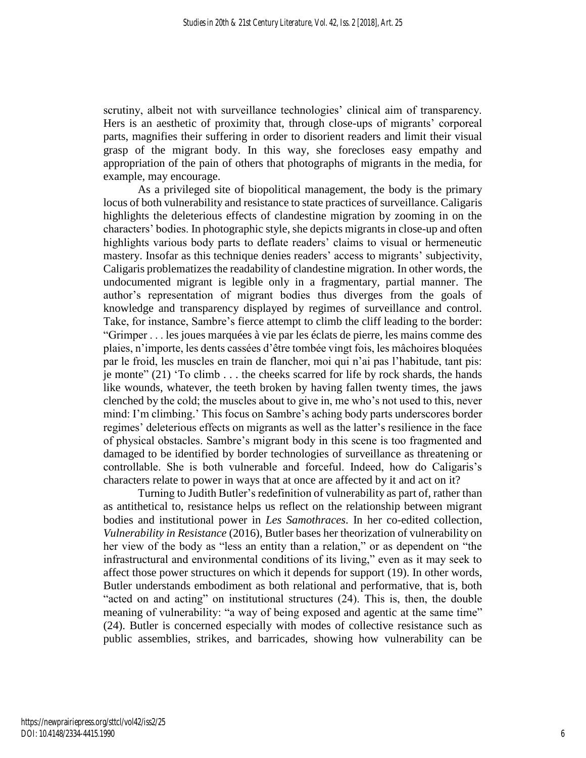scrutiny, albeit not with surveillance technologies' clinical aim of transparency. Hers is an aesthetic of proximity that, through close-ups of migrants' corporeal parts, magnifies their suffering in order to disorient readers and limit their visual grasp of the migrant body. In this way, she forecloses easy empathy and appropriation of the pain of others that photographs of migrants in the media, for example, may encourage.

As a privileged site of biopolitical management, the body is the primary locus of both vulnerability and resistance to state practices of surveillance. Caligaris highlights the deleterious effects of clandestine migration by zooming in on the characters' bodies. In photographic style, she depicts migrants in close-up and often highlights various body parts to deflate readers' claims to visual or hermeneutic mastery. Insofar as this technique denies readers' access to migrants' subjectivity, Caligaris problematizes the readability of clandestine migration. In other words, the undocumented migrant is legible only in a fragmentary, partial manner. The author's representation of migrant bodies thus diverges from the goals of knowledge and transparency displayed by regimes of surveillance and control. Take, for instance, Sambre's fierce attempt to climb the cliff leading to the border: "Grimper . . . les joues marquées à vie par les éclats de pierre, les mains comme des plaies, n'importe, les dents cassées d'être tombée vingt fois, les mâchoires bloquées par le froid, les muscles en train de flancher, moi qui n'ai pas l'habitude, tant pis: je monte" (21) 'To climb . . . the cheeks scarred for life by rock shards, the hands like wounds, whatever, the teeth broken by having fallen twenty times, the jaws clenched by the cold; the muscles about to give in, me who's not used to this, never mind: I'm climbing.' This focus on Sambre's aching body parts underscores border regimes' deleterious effects on migrants as well as the latter's resilience in the face of physical obstacles. Sambre's migrant body in this scene is too fragmented and damaged to be identified by border technologies of surveillance as threatening or controllable. She is both vulnerable and forceful. Indeed, how do Caligaris's characters relate to power in ways that at once are affected by it and act on it?

Turning to Judith Butler's redefinition of vulnerability as part of, rather than as antithetical to, resistance helps us reflect on the relationship between migrant bodies and institutional power in *Les Samothraces*. In her co-edited collection, *Vulnerability in Resistance* (2016), Butler bases her theorization of vulnerability on her view of the body as "less an entity than a relation," or as dependent on "the infrastructural and environmental conditions of its living," even as it may seek to affect those power structures on which it depends for support (19). In other words, Butler understands embodiment as both relational and performative, that is, both "acted on and acting" on institutional structures (24). This is, then, the double meaning of vulnerability: "a way of being exposed and agentic at the same time" (24). Butler is concerned especially with modes of collective resistance such as public assemblies, strikes, and barricades, showing how vulnerability can be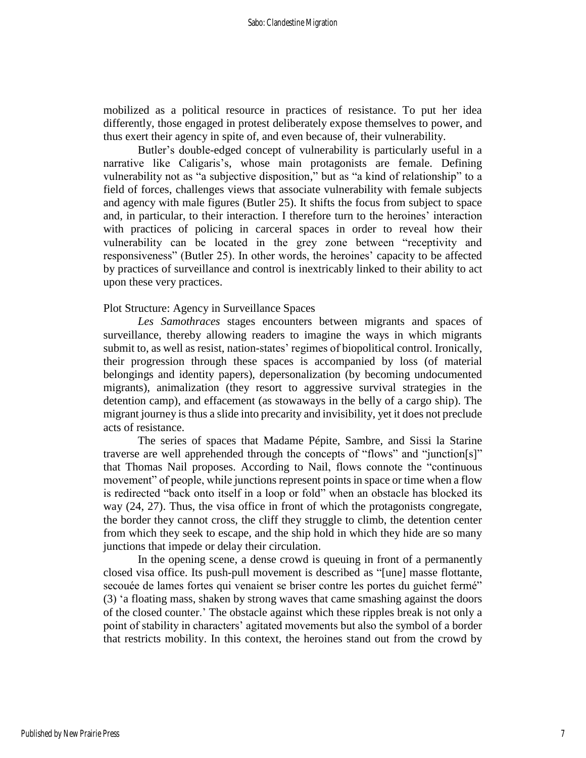mobilized as a political resource in practices of resistance. To put her idea differently, those engaged in protest deliberately expose themselves to power, and thus exert their agency in spite of, and even because of, their vulnerability.

Butler's double-edged concept of vulnerability is particularly useful in a narrative like Caligaris's, whose main protagonists are female. Defining vulnerability not as "a subjective disposition," but as "a kind of relationship" to a field of forces, challenges views that associate vulnerability with female subjects and agency with male figures (Butler 25). It shifts the focus from subject to space and, in particular, to their interaction. I therefore turn to the heroines' interaction with practices of policing in carceral spaces in order to reveal how their vulnerability can be located in the grey zone between "receptivity and responsiveness" (Butler 25). In other words, the heroines' capacity to be affected by practices of surveillance and control is inextricably linked to their ability to act upon these very practices.

#### Plot Structure: Agency in Surveillance Spaces

*Les Samothraces* stages encounters between migrants and spaces of surveillance, thereby allowing readers to imagine the ways in which migrants submit to, as well as resist, nation-states' regimes of biopolitical control. Ironically, their progression through these spaces is accompanied by loss (of material belongings and identity papers), depersonalization (by becoming undocumented migrants), animalization (they resort to aggressive survival strategies in the detention camp), and effacement (as stowaways in the belly of a cargo ship). The migrant journey is thus a slide into precarity and invisibility, yet it does not preclude acts of resistance.

The series of spaces that Madame Pépite, Sambre, and Sissi la Starine traverse are well apprehended through the concepts of "flows" and "junction[s]" that Thomas Nail proposes. According to Nail, flows connote the "continuous movement" of people, while junctions represent points in space or time when a flow is redirected "back onto itself in a loop or fold" when an obstacle has blocked its way (24, 27). Thus, the visa office in front of which the protagonists congregate, the border they cannot cross, the cliff they struggle to climb, the detention center from which they seek to escape, and the ship hold in which they hide are so many junctions that impede or delay their circulation.

In the opening scene, a dense crowd is queuing in front of a permanently closed visa office. Its push-pull movement is described as "[une] masse flottante, secouée de lames fortes qui venaient se briser contre les portes du guichet fermé" (3) 'a floating mass, shaken by strong waves that came smashing against the doors of the closed counter.' The obstacle against which these ripples break is not only a point of stability in characters' agitated movements but also the symbol of a border that restricts mobility. In this context, the heroines stand out from the crowd by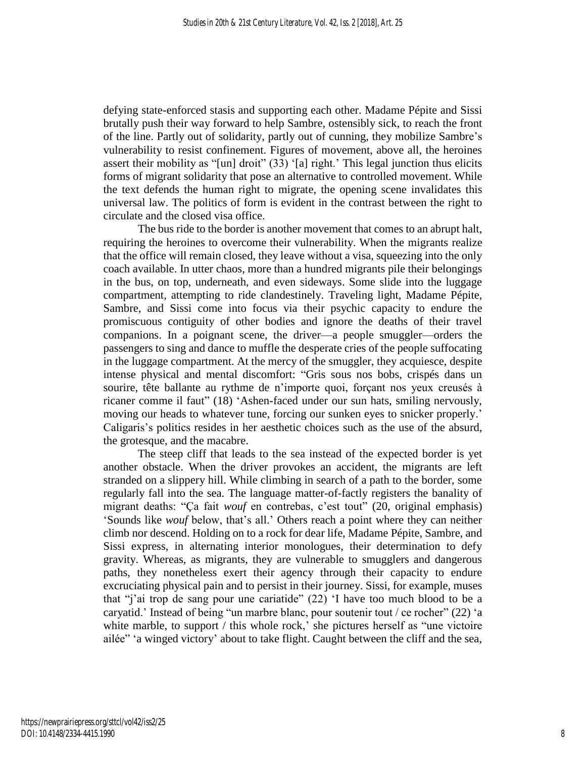defying state-enforced stasis and supporting each other. Madame Pépite and Sissi brutally push their way forward to help Sambre, ostensibly sick, to reach the front of the line. Partly out of solidarity, partly out of cunning, they mobilize Sambre's vulnerability to resist confinement. Figures of movement, above all, the heroines assert their mobility as "[un] droit" (33) '[a] right.' This legal junction thus elicits forms of migrant solidarity that pose an alternative to controlled movement. While the text defends the human right to migrate, the opening scene invalidates this universal law. The politics of form is evident in the contrast between the right to circulate and the closed visa office.

The bus ride to the border is another movement that comes to an abrupt halt, requiring the heroines to overcome their vulnerability. When the migrants realize that the office will remain closed, they leave without a visa, squeezing into the only coach available. In utter chaos, more than a hundred migrants pile their belongings in the bus, on top, underneath, and even sideways. Some slide into the luggage compartment, attempting to ride clandestinely. Traveling light, Madame Pépite, Sambre, and Sissi come into focus via their psychic capacity to endure the promiscuous contiguity of other bodies and ignore the deaths of their travel companions. In a poignant scene, the driver—a people smuggler—orders the passengers to sing and dance to muffle the desperate cries of the people suffocating in the luggage compartment. At the mercy of the smuggler, they acquiesce, despite intense physical and mental discomfort: "Gris sous nos bobs, crispés dans un sourire, tête ballante au rythme de n'importe quoi, forçant nos yeux creusés à ricaner comme il faut" (18) 'Ashen-faced under our sun hats, smiling nervously, moving our heads to whatever tune, forcing our sunken eyes to snicker properly.' Caligaris's politics resides in her aesthetic choices such as the use of the absurd, the grotesque, and the macabre.

The steep cliff that leads to the sea instead of the expected border is yet another obstacle. When the driver provokes an accident, the migrants are left stranded on a slippery hill. While climbing in search of a path to the border, some regularly fall into the sea. The language matter-of-factly registers the banality of migrant deaths: "Ça fait *wouf* en contrebas, c'est tout" (20, original emphasis) 'Sounds like *wouf* below, that's all.' Others reach a point where they can neither climb nor descend. Holding on to a rock for dear life, Madame Pépite, Sambre, and Sissi express, in alternating interior monologues, their determination to defy gravity. Whereas, as migrants, they are vulnerable to smugglers and dangerous paths, they nonetheless exert their agency through their capacity to endure excruciating physical pain and to persist in their journey. Sissi, for example, muses that "j'ai trop de sang pour une cariatide" (22) 'I have too much blood to be a caryatid.' Instead of being "un marbre blanc, pour soutenir tout / ce rocher" (22) 'a white marble, to support / this whole rock,' she pictures herself as "une victoire ailée" 'a winged victory' about to take flight. Caught between the cliff and the sea,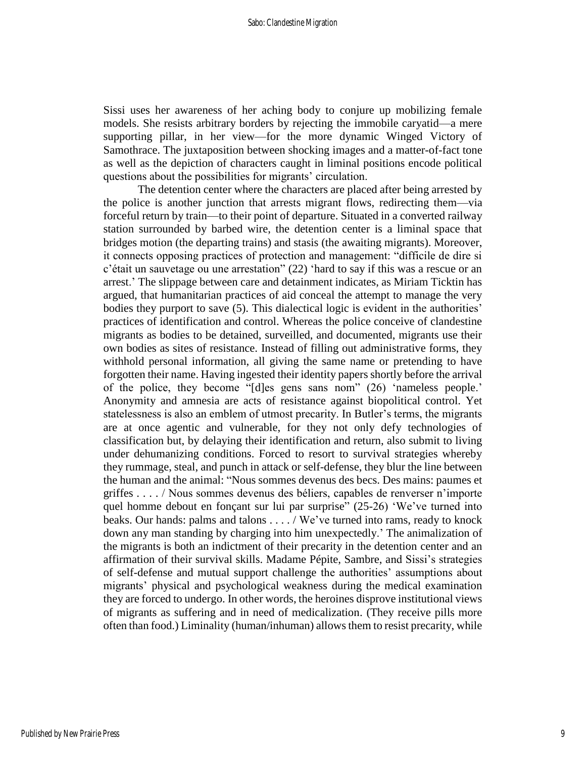Sissi uses her awareness of her aching body to conjure up mobilizing female models. She resists arbitrary borders by rejecting the immobile caryatid—a mere supporting pillar, in her view—for the more dynamic Winged Victory of Samothrace. The juxtaposition between shocking images and a matter-of-fact tone as well as the depiction of characters caught in liminal positions encode political questions about the possibilities for migrants' circulation.

The detention center where the characters are placed after being arrested by the police is another junction that arrests migrant flows, redirecting them—via forceful return by train—to their point of departure. Situated in a converted railway station surrounded by barbed wire, the detention center is a liminal space that bridges motion (the departing trains) and stasis (the awaiting migrants). Moreover, it connects opposing practices of protection and management: "difficile de dire si c'était un sauvetage ou une arrestation" (22) 'hard to say if this was a rescue or an arrest.' The slippage between care and detainment indicates, as Miriam Ticktin has argued, that humanitarian practices of aid conceal the attempt to manage the very bodies they purport to save (5). This dialectical logic is evident in the authorities' practices of identification and control. Whereas the police conceive of clandestine migrants as bodies to be detained, surveilled, and documented, migrants use their own bodies as sites of resistance. Instead of filling out administrative forms, they withhold personal information, all giving the same name or pretending to have forgotten their name. Having ingested their identity papers shortly before the arrival of the police, they become "[d]es gens sans nom" (26) 'nameless people.' Anonymity and amnesia are acts of resistance against biopolitical control. Yet statelessness is also an emblem of utmost precarity. In Butler's terms, the migrants are at once agentic and vulnerable, for they not only defy technologies of classification but, by delaying their identification and return, also submit to living under dehumanizing conditions. Forced to resort to survival strategies whereby they rummage, steal, and punch in attack or self-defense, they blur the line between the human and the animal: "Nous sommes devenus des becs. Des mains: paumes et griffes . . . . / Nous sommes devenus des béliers, capables de renverser n'importe quel homme debout en fonçant sur lui par surprise" (25-26) 'We've turned into beaks. Our hands: palms and talons . . . . / We've turned into rams, ready to knock down any man standing by charging into him unexpectedly.' The animalization of the migrants is both an indictment of their precarity in the detention center and an affirmation of their survival skills. Madame Pépite, Sambre, and Sissi's strategies of self-defense and mutual support challenge the authorities' assumptions about migrants' physical and psychological weakness during the medical examination they are forced to undergo. In other words, the heroines disprove institutional views of migrants as suffering and in need of medicalization. (They receive pills more often than food.) Liminality (human/inhuman) allows them to resist precarity, while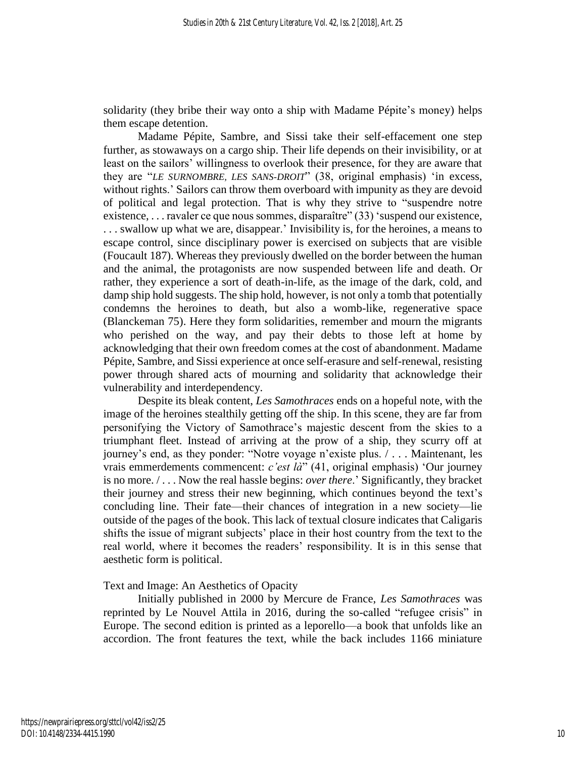solidarity (they bribe their way onto a ship with Madame Pépite's money) helps them escape detention.

Madame Pépite, Sambre, and Sissi take their self-effacement one step further, as stowaways on a cargo ship. Their life depends on their invisibility, or at least on the sailors' willingness to overlook their presence, for they are aware that they are "*LE SURNOMBRE, LES SANS-DROIT*" (38, original emphasis) 'in excess, without rights.' Sailors can throw them overboard with impunity as they are devoid of political and legal protection. That is why they strive to "suspendre notre existence, ... ravaler ce que nous sommes, disparaître" (33) 'suspend our existence, . . . swallow up what we are, disappear.' Invisibility is, for the heroines, a means to escape control, since disciplinary power is exercised on subjects that are visible (Foucault 187). Whereas they previously dwelled on the border between the human and the animal, the protagonists are now suspended between life and death. Or rather, they experience a sort of death-in-life, as the image of the dark, cold, and damp ship hold suggests. The ship hold, however, is not only a tomb that potentially condemns the heroines to death, but also a womb-like, regenerative space (Blanckeman 75). Here they form solidarities, remember and mourn the migrants who perished on the way, and pay their debts to those left at home by acknowledging that their own freedom comes at the cost of abandonment. Madame Pépite, Sambre, and Sissi experience at once self-erasure and self-renewal, resisting power through shared acts of mourning and solidarity that acknowledge their vulnerability and interdependency.

Despite its bleak content, *Les Samothraces* ends on a hopeful note, with the image of the heroines stealthily getting off the ship. In this scene, they are far from personifying the Victory of Samothrace's majestic descent from the skies to a triumphant fleet. Instead of arriving at the prow of a ship, they scurry off at journey's end, as they ponder: "Notre voyage n'existe plus. / . . . Maintenant, les vrais emmerdements commencent: *c'est là*" (41, original emphasis) 'Our journey is no more. / . . . Now the real hassle begins: *over there*.' Significantly, they bracket their journey and stress their new beginning, which continues beyond the text's concluding line. Their fate—their chances of integration in a new society—lie outside of the pages of the book. This lack of textual closure indicates that Caligaris shifts the issue of migrant subjects' place in their host country from the text to the real world, where it becomes the readers' responsibility. It is in this sense that aesthetic form is political.

### Text and Image: An Aesthetics of Opacity

Initially published in 2000 by Mercure de France, *Les Samothraces* was reprinted by Le Nouvel Attila in 2016, during the so-called "refugee crisis" in Europe. The second edition is printed as a leporello—a book that unfolds like an accordion. The front features the text, while the back includes 1166 miniature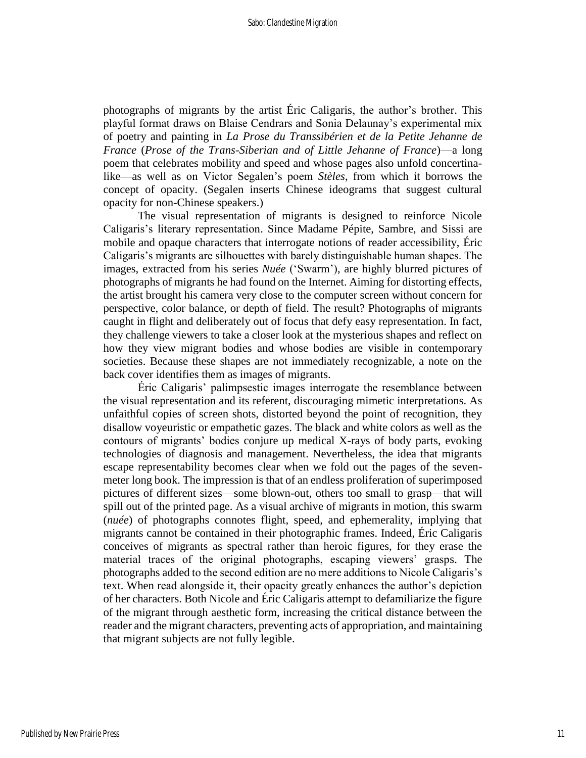photographs of migrants by the artist Éric Caligaris, the author's brother. This playful format draws on Blaise Cendrars and Sonia Delaunay's experimental mix of poetry and painting in *La Prose du Transsibérien et de la Petite Jehanne de France* (*Prose of the Trans-Siberian and of Little Jehanne of France*)—a long poem that celebrates mobility and speed and whose pages also unfold concertinalike—as well as on Victor Segalen's poem *Stèles*, from which it borrows the concept of opacity. (Segalen inserts Chinese ideograms that suggest cultural opacity for non-Chinese speakers.)

The visual representation of migrants is designed to reinforce Nicole Caligaris's literary representation. Since Madame Pépite, Sambre, and Sissi are mobile and opaque characters that interrogate notions of reader accessibility, Éric Caligaris's migrants are silhouettes with barely distinguishable human shapes. The images, extracted from his series *Nuée* ('Swarm'), are highly blurred pictures of photographs of migrants he had found on the Internet. Aiming for distorting effects, the artist brought his camera very close to the computer screen without concern for perspective, color balance, or depth of field. The result? Photographs of migrants caught in flight and deliberately out of focus that defy easy representation. In fact, they challenge viewers to take a closer look at the mysterious shapes and reflect on how they view migrant bodies and whose bodies are visible in contemporary societies. Because these shapes are not immediately recognizable, a note on the back cover identifies them as images of migrants.

Éric Caligaris' palimpsestic images interrogate the resemblance between the visual representation and its referent, discouraging mimetic interpretations. As unfaithful copies of screen shots, distorted beyond the point of recognition, they disallow voyeuristic or empathetic gazes. The black and white colors as well as the contours of migrants' bodies conjure up medical X-rays of body parts, evoking technologies of diagnosis and management. Nevertheless, the idea that migrants escape representability becomes clear when we fold out the pages of the sevenmeter long book. The impression is that of an endless proliferation of superimposed pictures of different sizes—some blown-out, others too small to grasp—that will spill out of the printed page. As a visual archive of migrants in motion, this swarm (*nuée*) of photographs connotes flight, speed, and ephemerality, implying that migrants cannot be contained in their photographic frames. Indeed, Éric Caligaris conceives of migrants as spectral rather than heroic figures, for they erase the material traces of the original photographs, escaping viewers' grasps. The photographs added to the second edition are no mere additions to Nicole Caligaris's text. When read alongside it, their opacity greatly enhances the author's depiction of her characters. Both Nicole and Éric Caligaris attempt to defamiliarize the figure of the migrant through aesthetic form, increasing the critical distance between the reader and the migrant characters, preventing acts of appropriation, and maintaining that migrant subjects are not fully legible.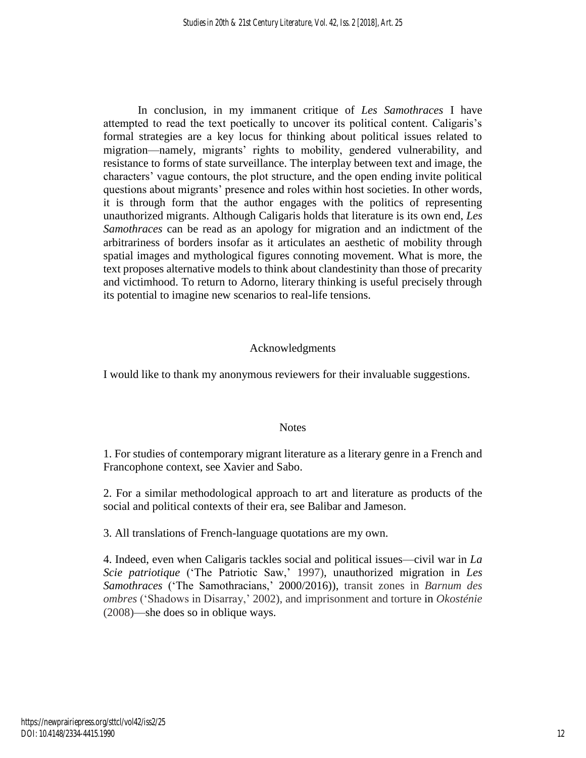In conclusion, in my immanent critique of *Les Samothraces* I have attempted to read the text poetically to uncover its political content. Caligaris's formal strategies are a key locus for thinking about political issues related to migration—namely, migrants' rights to mobility, gendered vulnerability, and resistance to forms of state surveillance. The interplay between text and image, the characters' vague contours, the plot structure, and the open ending invite political questions about migrants' presence and roles within host societies. In other words, it is through form that the author engages with the politics of representing unauthorized migrants. Although Caligaris holds that literature is its own end, *Les Samothraces* can be read as an apology for migration and an indictment of the arbitrariness of borders insofar as it articulates an aesthetic of mobility through spatial images and mythological figures connoting movement. What is more, the text proposes alternative models to think about clandestinity than those of precarity and victimhood. To return to Adorno, literary thinking is useful precisely through its potential to imagine new scenarios to real-life tensions.

## Acknowledgments

I would like to thank my anonymous reviewers for their invaluable suggestions.

### **Notes**

1. For studies of contemporary migrant literature as a literary genre in a French and Francophone context, see Xavier and Sabo.

2. For a similar methodological approach to art and literature as products of the social and political contexts of their era, see Balibar and Jameson.

3. All translations of French-language quotations are my own.

4. Indeed, even when Caligaris tackles social and political issues—civil war in *La Scie patriotique* ('The Patriotic Saw,' 1997), unauthorized migration in *Les Samothraces* ('The Samothracians,' 2000/2016)), transit zones in *Barnum des ombres* ('Shadows in Disarray,' 2002), and imprisonment and torture in *Okosténie* (2008)—she does so in oblique ways.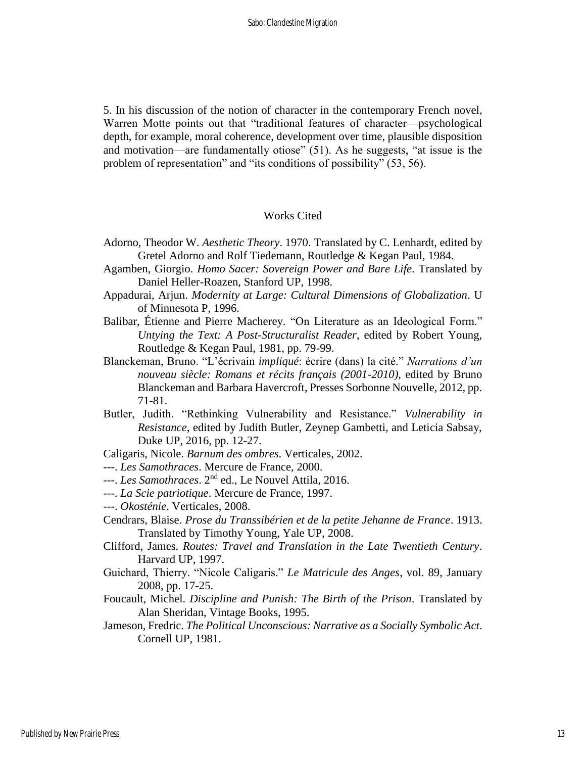5. In his discussion of the notion of character in the contemporary French novel, Warren Motte points out that "traditional features of character—psychological depth, for example, moral coherence, development over time, plausible disposition and motivation—are fundamentally otiose" (51). As he suggests, "at issue is the problem of representation" and "its conditions of possibility" (53, 56).

#### Works Cited

- Adorno, Theodor W. *Aesthetic Theory*. 1970. Translated by C. Lenhardt, edited by Gretel Adorno and Rolf Tiedemann, Routledge & Kegan Paul, 1984.
- Agamben, Giorgio. *Homo Sacer: Sovereign Power and Bare Life*. Translated by Daniel Heller-Roazen, Stanford UP, 1998.
- Appadurai, Arjun. *Modernity at Large: Cultural Dimensions of Globalization*. U of Minnesota P, 1996.
- Balibar, Étienne and Pierre Macherey. "On Literature as an Ideological Form." *Untying the Text: A Post-Structuralist Reader*, edited by Robert Young, Routledge & Kegan Paul, 1981, pp. 79-99.
- Blanckeman, Bruno. "L'écrivain *impliqué*: écrire (dans) la cité." *Narrations d'un nouveau siècle: Romans et récits français (2001-2010)*, edited by Bruno Blanckeman and Barbara Havercroft, Presses Sorbonne Nouvelle, 2012, pp. 71-81.
- Butler, Judith. "Rethinking Vulnerability and Resistance." *Vulnerability in Resistance*, edited by Judith Butler, Zeynep Gambetti, and Leticia Sabsay, Duke UP, 2016, pp. 12-27.
- Caligaris, Nicole. *Barnum des ombres*. Verticales, 2002.
- ---. *Les Samothraces*. Mercure de France, 2000.
- ---. *Les Samothraces*. 2<sup>nd</sup> ed., Le Nouvel Attila, 2016.
- ---. *La Scie patriotique*. Mercure de France, 1997.
- ---. *Okosténie*. Verticales, 2008.
- Cendrars, Blaise. *Prose du Transsibérien et de la petite Jehanne de France*. 1913. Translated by Timothy Young, Yale UP, 2008.
- Clifford, James. *Routes: Travel and Translation in the Late Twentieth Century*. Harvard UP, 1997.
- Guichard, Thierry. "Nicole Caligaris." *Le Matricule des Anges*, vol. 89, January 2008, pp. 17-25.
- Foucault, Michel. *Discipline and Punish: The Birth of the Prison*. Translated by Alan Sheridan, Vintage Books, 1995.
- Jameson, Fredric. *The Political Unconscious: Narrative as a Socially Symbolic Act*. Cornell UP, 1981.